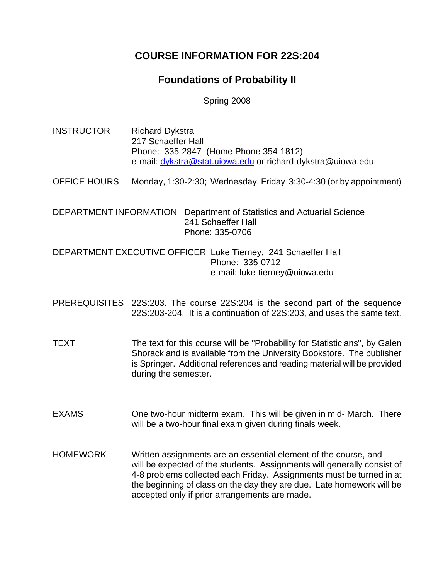# **COURSE INFORMATION FOR 22S:204**

# **Foundations of Probability II**

Spring 2008

INSTRUCTOR Richard Dykstra 217 Schaeffer Hall Phone: 335-2847 (Home Phone 354-1812) e-mail: dykstra@stat.uiowa.edu or richard-dykstra@uiowa.edu

OFFICE HOURS Monday, 1:30-2:30; Wednesday, Friday 3:30-4:30 (or by appointment)

DEPARTMENT INFORMATION Department of Statistics and Actuarial Science 241 Schaeffer Hall Phone: 335-0706

DEPARTMENT EXECUTIVE OFFICER Luke Tierney, 241 Schaeffer Hall Phone: 335-0712 e-mail: luke-tierney@uiowa.edu

PREREQUISITES 22S:203. The course 22S:204 is the second part of the sequence 22S:203-204. It is a continuation of 22S:203, and uses the same text.

- TEXT The text for this course will be "Probability for Statisticians", by Galen Shorack and is available from the University Bookstore. The publisher is Springer. Additional references and reading material will be provided during the semester.
- EXAMS One two-hour midterm exam. This will be given in mid- March. There will be a two-hour final exam given during finals week.
- HOMEWORK Written assignments are an essential element of the course, and will be expected of the students. Assignments will generally consist of 4-8 problems collected each Friday. Assignments must be turned in at the beginning of class on the day they are due. Late homework will be accepted only if prior arrangements are made.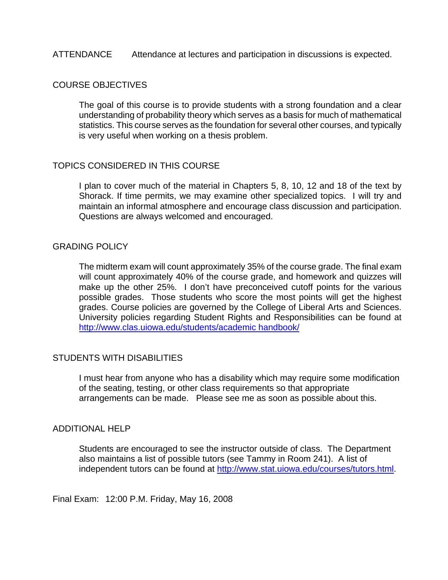## ATTENDANCE Attendance at lectures and participation in discussions is expected.

# COURSE OBJECTIVES

The goal of this course is to provide students with a strong foundation and a clear understanding of probability theory which serves as a basis for much of mathematical statistics. This course serves as the foundation for several other courses, and typically is very useful when working on a thesis problem.

## TOPICS CONSIDERED IN THIS COURSE

I plan to cover much of the material in Chapters 5, 8, 10, 12 and 18 of the text by Shorack. If time permits, we may examine other specialized topics. I will try and maintain an informal atmosphere and encourage class discussion and participation. Questions are always welcomed and encouraged.

#### GRADING POLICY

The midterm exam will count approximately 35% of the course grade. The final exam will count approximately 40% of the course grade, and homework and quizzes will make up the other 25%. I don't have preconceived cutoff points for the various possible grades. Those students who score the most points will get the highest grades. Course policies are governed by the College of Liberal Arts and Sciences. University policies regarding Student Rights and Responsibilities can be found at [http://www.clas.uiowa.edu/students/academic handbook/](http://www.clas.uiowa.edu/students/academic%20handbook/)

## STUDENTS WITH DISABILITIES

I must hear from anyone who has a disability which may require some modification of the seating, testing, or other class requirements so that appropriate arrangements can be made. Please see me as soon as possible about this.

### ADDITIONAL HELP

Students are encouraged to see the instructor outside of class. The Department also maintains a list of possible tutors (see Tammy in Room 241). A list of independent tutors can be found at <http://www.stat.uiowa.edu/courses/tutors.html>.

Final Exam: 12:00 P.M. Friday, May 16, 2008